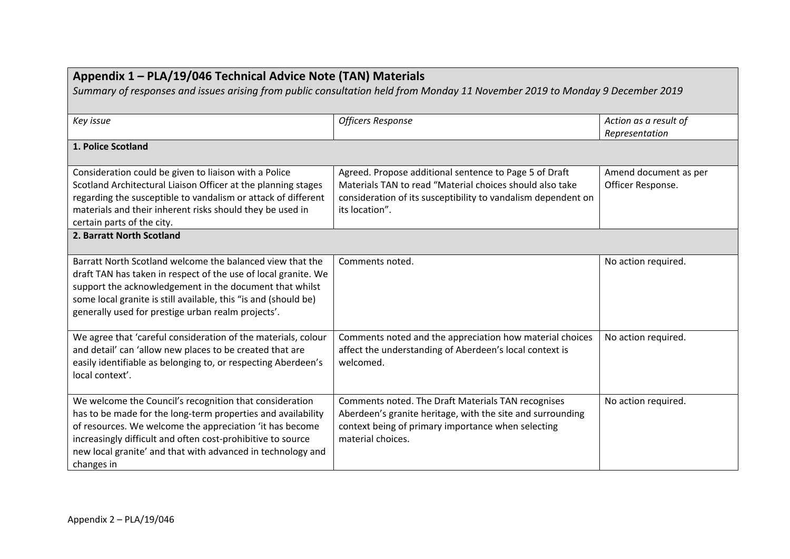| Appendix 1 - PLA/19/046 Technical Advice Note (TAN) Materials<br>Summary of responses and issues arising from public consultation held from Monday 11 November 2019 to Monday 9 December 2019                                                                                                                                   |                                                                                                                                                                                                       |                                            |  |  |
|---------------------------------------------------------------------------------------------------------------------------------------------------------------------------------------------------------------------------------------------------------------------------------------------------------------------------------|-------------------------------------------------------------------------------------------------------------------------------------------------------------------------------------------------------|--------------------------------------------|--|--|
| Key issue                                                                                                                                                                                                                                                                                                                       | <b>Officers Response</b>                                                                                                                                                                              | Action as a result of<br>Representation    |  |  |
| 1. Police Scotland                                                                                                                                                                                                                                                                                                              |                                                                                                                                                                                                       |                                            |  |  |
| Consideration could be given to liaison with a Police<br>Scotland Architectural Liaison Officer at the planning stages<br>regarding the susceptible to vandalism or attack of different<br>materials and their inherent risks should they be used in<br>certain parts of the city.                                              | Agreed. Propose additional sentence to Page 5 of Draft<br>Materials TAN to read "Material choices should also take<br>consideration of its susceptibility to vandalism dependent on<br>its location". | Amend document as per<br>Officer Response. |  |  |
| 2. Barratt North Scotland                                                                                                                                                                                                                                                                                                       |                                                                                                                                                                                                       |                                            |  |  |
| Barratt North Scotland welcome the balanced view that the<br>draft TAN has taken in respect of the use of local granite. We<br>support the acknowledgement in the document that whilst<br>some local granite is still available, this "is and (should be)<br>generally used for prestige urban realm projects'.                 | Comments noted.                                                                                                                                                                                       | No action required.                        |  |  |
| We agree that 'careful consideration of the materials, colour<br>and detail' can 'allow new places to be created that are<br>easily identifiable as belonging to, or respecting Aberdeen's<br>local context'.                                                                                                                   | Comments noted and the appreciation how material choices<br>affect the understanding of Aberdeen's local context is<br>welcomed.                                                                      | No action required.                        |  |  |
| We welcome the Council's recognition that consideration<br>has to be made for the long-term properties and availability<br>of resources. We welcome the appreciation 'it has become<br>increasingly difficult and often cost-prohibitive to source<br>new local granite' and that with advanced in technology and<br>changes in | Comments noted. The Draft Materials TAN recognises<br>Aberdeen's granite heritage, with the site and surrounding<br>context being of primary importance when selecting<br>material choices.           | No action required.                        |  |  |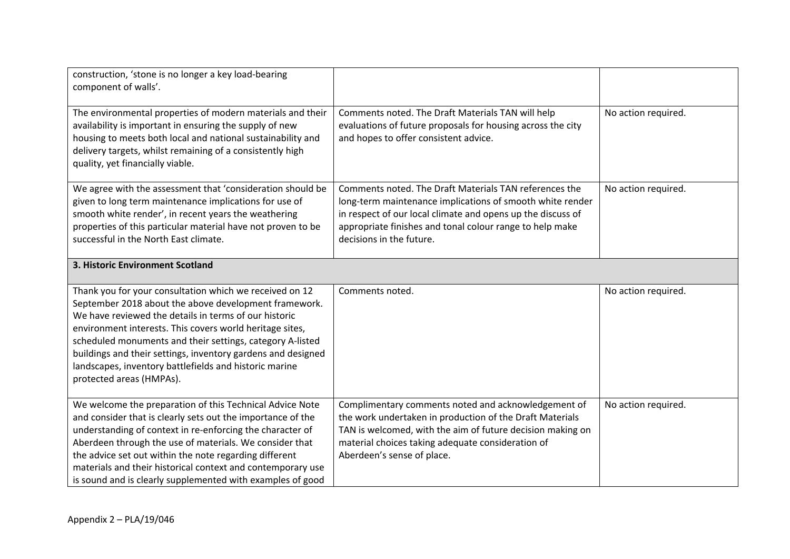| construction, 'stone is no longer a key load-bearing<br>component of walls'.                                                                                                                                                                                                                                                                                                                                                                             |                                                                                                                                                                                                                                                                            |                     |
|----------------------------------------------------------------------------------------------------------------------------------------------------------------------------------------------------------------------------------------------------------------------------------------------------------------------------------------------------------------------------------------------------------------------------------------------------------|----------------------------------------------------------------------------------------------------------------------------------------------------------------------------------------------------------------------------------------------------------------------------|---------------------|
| The environmental properties of modern materials and their<br>availability is important in ensuring the supply of new<br>housing to meets both local and national sustainability and<br>delivery targets, whilst remaining of a consistently high<br>quality, yet financially viable.                                                                                                                                                                    | Comments noted. The Draft Materials TAN will help<br>evaluations of future proposals for housing across the city<br>and hopes to offer consistent advice.                                                                                                                  | No action required. |
| We agree with the assessment that 'consideration should be<br>given to long term maintenance implications for use of<br>smooth white render', in recent years the weathering<br>properties of this particular material have not proven to be<br>successful in the North East climate.                                                                                                                                                                    | Comments noted. The Draft Materials TAN references the<br>long-term maintenance implications of smooth white render<br>in respect of our local climate and opens up the discuss of<br>appropriate finishes and tonal colour range to help make<br>decisions in the future. | No action required. |
| 3. Historic Environment Scotland                                                                                                                                                                                                                                                                                                                                                                                                                         |                                                                                                                                                                                                                                                                            |                     |
| Thank you for your consultation which we received on 12<br>September 2018 about the above development framework.<br>We have reviewed the details in terms of our historic<br>environment interests. This covers world heritage sites,<br>scheduled monuments and their settings, category A-listed<br>buildings and their settings, inventory gardens and designed<br>landscapes, inventory battlefields and historic marine<br>protected areas (HMPAs). | Comments noted.                                                                                                                                                                                                                                                            | No action required. |
| We welcome the preparation of this Technical Advice Note<br>and consider that is clearly sets out the importance of the<br>understanding of context in re-enforcing the character of<br>Aberdeen through the use of materials. We consider that<br>the advice set out within the note regarding different<br>materials and their historical context and contemporary use<br>is sound and is clearly supplemented with examples of good                   | Complimentary comments noted and acknowledgement of<br>the work undertaken in production of the Draft Materials<br>TAN is welcomed, with the aim of future decision making on<br>material choices taking adequate consideration of<br>Aberdeen's sense of place.           | No action required. |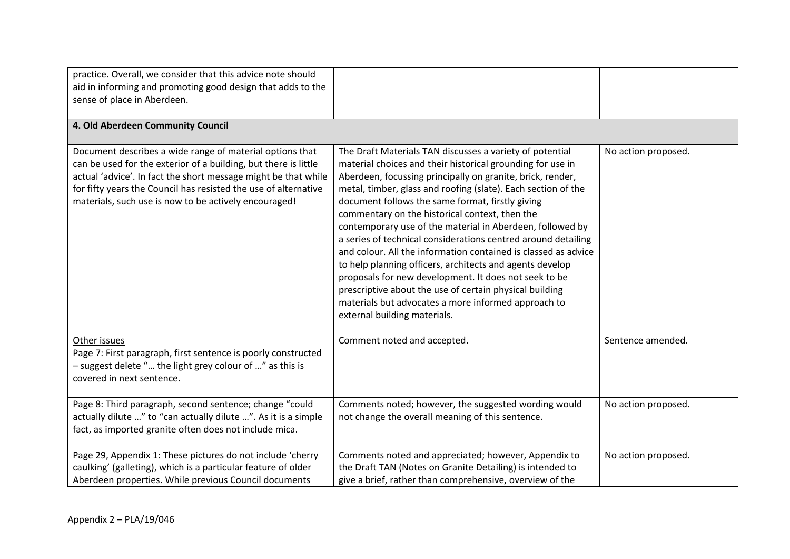| practice. Overall, we consider that this advice note should<br>aid in informing and promoting good design that adds to the<br>sense of place in Aberdeen.                                                                                                                                                                 |                                                                                                                                                                                                                                                                                                                                                                                                                                                                                                                                                                                                                                                                                                                                                                                                                                    |                     |
|---------------------------------------------------------------------------------------------------------------------------------------------------------------------------------------------------------------------------------------------------------------------------------------------------------------------------|------------------------------------------------------------------------------------------------------------------------------------------------------------------------------------------------------------------------------------------------------------------------------------------------------------------------------------------------------------------------------------------------------------------------------------------------------------------------------------------------------------------------------------------------------------------------------------------------------------------------------------------------------------------------------------------------------------------------------------------------------------------------------------------------------------------------------------|---------------------|
| 4. Old Aberdeen Community Council                                                                                                                                                                                                                                                                                         |                                                                                                                                                                                                                                                                                                                                                                                                                                                                                                                                                                                                                                                                                                                                                                                                                                    |                     |
| Document describes a wide range of material options that<br>can be used for the exterior of a building, but there is little<br>actual 'advice'. In fact the short message might be that while<br>for fifty years the Council has resisted the use of alternative<br>materials, such use is now to be actively encouraged! | The Draft Materials TAN discusses a variety of potential<br>material choices and their historical grounding for use in<br>Aberdeen, focussing principally on granite, brick, render,<br>metal, timber, glass and roofing (slate). Each section of the<br>document follows the same format, firstly giving<br>commentary on the historical context, then the<br>contemporary use of the material in Aberdeen, followed by<br>a series of technical considerations centred around detailing<br>and colour. All the information contained is classed as advice<br>to help planning officers, architects and agents develop<br>proposals for new development. It does not seek to be<br>prescriptive about the use of certain physical building<br>materials but advocates a more informed approach to<br>external building materials. | No action proposed. |
| Other issues<br>Page 7: First paragraph, first sentence is poorly constructed<br>- suggest delete " the light grey colour of " as this is<br>covered in next sentence.                                                                                                                                                    | Comment noted and accepted.                                                                                                                                                                                                                                                                                                                                                                                                                                                                                                                                                                                                                                                                                                                                                                                                        | Sentence amended.   |
| Page 8: Third paragraph, second sentence; change "could<br>actually dilute " to "can actually dilute ". As it is a simple<br>fact, as imported granite often does not include mica.                                                                                                                                       | Comments noted; however, the suggested wording would<br>not change the overall meaning of this sentence.                                                                                                                                                                                                                                                                                                                                                                                                                                                                                                                                                                                                                                                                                                                           | No action proposed. |
| Page 29, Appendix 1: These pictures do not include 'cherry<br>caulking' (galleting), which is a particular feature of older<br>Aberdeen properties. While previous Council documents                                                                                                                                      | Comments noted and appreciated; however, Appendix to<br>the Draft TAN (Notes on Granite Detailing) is intended to<br>give a brief, rather than comprehensive, overview of the                                                                                                                                                                                                                                                                                                                                                                                                                                                                                                                                                                                                                                                      | No action proposed. |